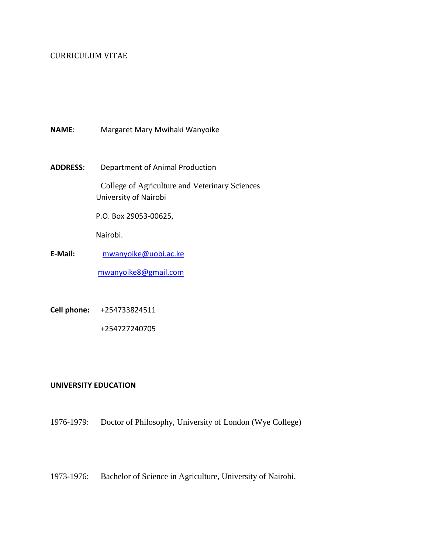- **NAME**: Margaret Mary Mwihaki Wanyoike
- **ADDRESS**: Department of Animal Production

College of Agriculture and Veterinary Sciences University of Nairobi

P.O. Box 29053-00625,

Nairobi.

- **E-Mail:** [mwanyoike@uobi.ac.ke](mailto:mwanyoike@uobi.ac.ke) [mwanyoike8@gmail.com](mailto:mwanyoike8@gmail.com)
- **Cell phone:** +254733824511

+254727240705

#### **UNIVERSITY EDUCATION**

1976-1979: Doctor of Philosophy, University of London (Wye College)

1973-1976: Bachelor of Science in Agriculture, University of Nairobi.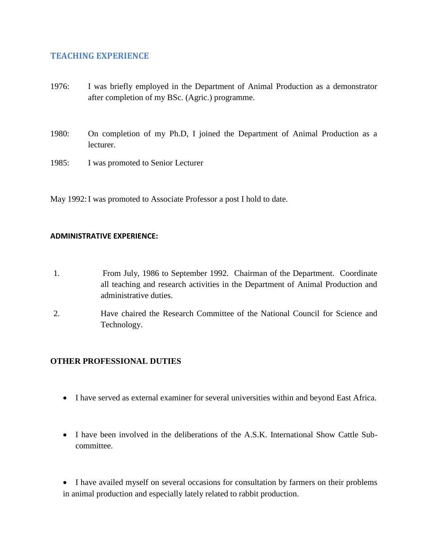## **TEACHING EXPERIENCE**

- 1976: I was briefly employed in the Department of Animal Production as a demonstrator after completion of my BSc. (Agric.) programme.
- 1980: On completion of my Ph.D, I joined the Department of Animal Production as a lecturer.
- 1985: I was promoted to Senior Lecturer

May 1992:I was promoted to Associate Professor a post I hold to date.

#### **ADMINISTRATIVE EXPERIENCE:**

- 1. From July, 1986 to September 1992. Chairman of the Department. Coordinate all teaching and research activities in the Department of Animal Production and administrative duties.
- 2. Have chaired the Research Committee of the National Council for Science and Technology.

## **OTHER PROFESSIONAL DUTIES**

- I have served as external examiner for several universities within and beyond East Africa.
- I have been involved in the deliberations of the A.S.K. International Show Cattle Subcommittee.

• I have availed myself on several occasions for consultation by farmers on their problems in animal production and especially lately related to rabbit production.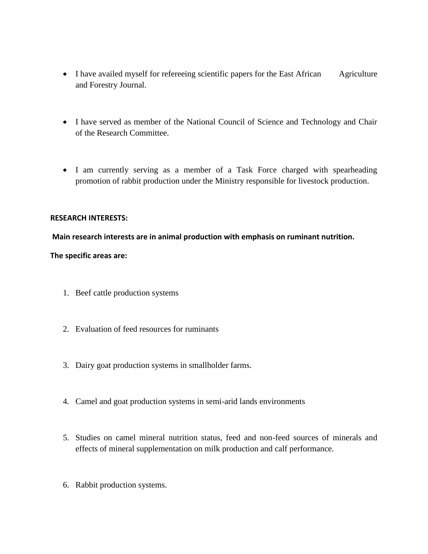- I have availed myself for refereeing scientific papers for the East African Agriculture and Forestry Journal.
- I have served as member of the National Council of Science and Technology and Chair of the Research Committee.
- I am currently serving as a member of a Task Force charged with spearheading promotion of rabbit production under the Ministry responsible for livestock production.

#### **RESEARCH INTERESTS:**

#### **Main research interests are in animal production with emphasis on ruminant nutrition.**

#### **The specific areas are:**

- 1. Beef cattle production systems
- 2. Evaluation of feed resources for ruminants
- 3. Dairy goat production systems in smallholder farms.
- 4. Camel and goat production systems in semi-arid lands environments
- 5. Studies on camel mineral nutrition status, feed and non-feed sources of minerals and effects of mineral supplementation on milk production and calf performance.
- 6. Rabbit production systems.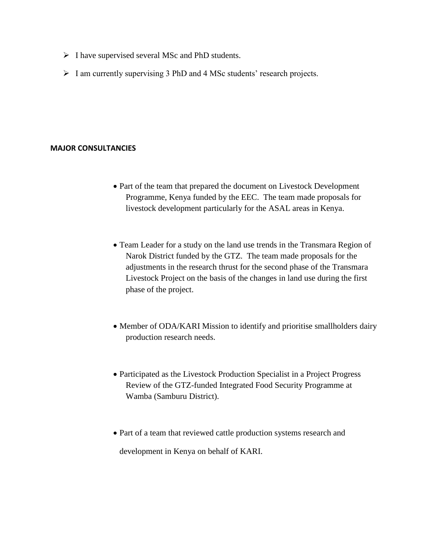- $\triangleright$  I have supervised several MSc and PhD students.
- $\triangleright$  I am currently supervising 3 PhD and 4 MSc students' research projects.

#### **MAJOR CONSULTANCIES**

- Part of the team that prepared the document on Livestock Development Programme, Kenya funded by the EEC. The team made proposals for livestock development particularly for the ASAL areas in Kenya.
- Team Leader for a study on the land use trends in the Transmara Region of Narok District funded by the GTZ. The team made proposals for the adjustments in the research thrust for the second phase of the Transmara Livestock Project on the basis of the changes in land use during the first phase of the project.
- Member of ODA/KARI Mission to identify and prioritise smallholders dairy production research needs.
- Participated as the Livestock Production Specialist in a Project Progress Review of the GTZ-funded Integrated Food Security Programme at Wamba (Samburu District).
- Part of a team that reviewed cattle production systems research and development in Kenya on behalf of KARI.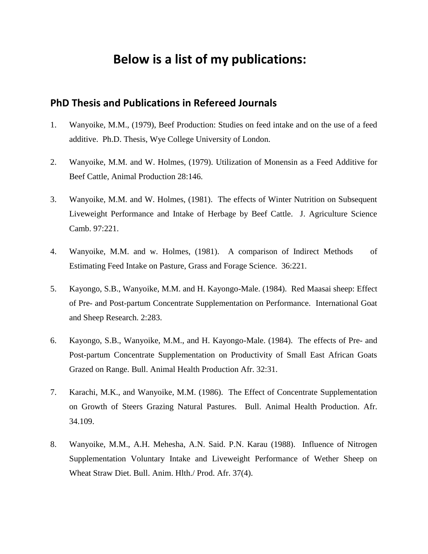# **Below is a list of my publications:**

# **PhD Thesis and Publications in Refereed Journals**

- 1. Wanyoike, M.M., (1979), Beef Production: Studies on feed intake and on the use of a feed additive. Ph.D. Thesis, Wye College University of London.
- 2. Wanyoike, M.M. and W. Holmes, (1979). Utilization of Monensin as a Feed Additive for Beef Cattle, Animal Production 28:146.
- 3. Wanyoike, M.M. and W. Holmes, (1981). The effects of Winter Nutrition on Subsequent Liveweight Performance and Intake of Herbage by Beef Cattle. J. Agriculture Science Camb. 97:221.
- 4. Wanyoike, M.M. and w. Holmes, (1981). A comparison of Indirect Methods of Estimating Feed Intake on Pasture, Grass and Forage Science. 36:221.
- 5. Kayongo, S.B., Wanyoike, M.M. and H. Kayongo-Male. (1984). Red Maasai sheep: Effect of Pre- and Post-partum Concentrate Supplementation on Performance. International Goat and Sheep Research. 2:283.
- 6. Kayongo, S.B., Wanyoike, M.M., and H. Kayongo-Male. (1984). The effects of Pre- and Post-partum Concentrate Supplementation on Productivity of Small East African Goats Grazed on Range. Bull. Animal Health Production Afr. 32:31.
- 7. Karachi, M.K., and Wanyoike, M.M. (1986). The Effect of Concentrate Supplementation on Growth of Steers Grazing Natural Pastures. Bull. Animal Health Production. Afr. 34.109.
- 8. Wanyoike, M.M., A.H. Mehesha, A.N. Said. P.N. Karau (1988). Influence of Nitrogen Supplementation Voluntary Intake and Liveweight Performance of Wether Sheep on Wheat Straw Diet. Bull. Anim. Hlth./ Prod. Afr. 37(4).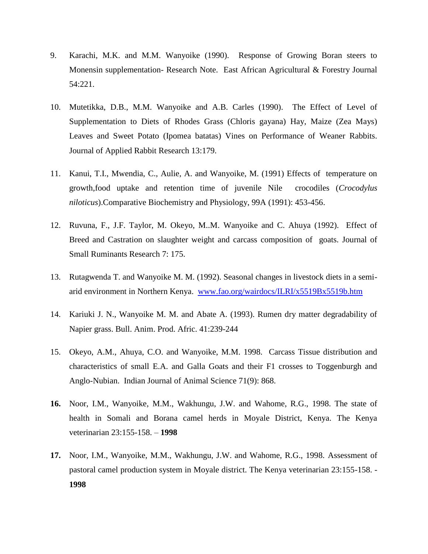- 9. Karachi, M.K. and M.M. Wanyoike (1990). Response of Growing Boran steers to Monensin supplementation- Research Note. East African Agricultural & Forestry Journal 54:221.
- 10. Mutetikka, D.B., M.M. Wanyoike and A.B. Carles (1990). The Effect of Level of Supplementation to Diets of Rhodes Grass (Chloris gayana) Hay, Maize (Zea Mays) Leaves and Sweet Potato (Ipomea batatas) Vines on Performance of Weaner Rabbits. Journal of Applied Rabbit Research 13:179.
- 11. Kanui, T.I., Mwendia, C., Aulie, A. and Wanyoike, M. (1991) Effects of temperature on growth,food uptake and retention time of juvenile Nile crocodiles (*Crocodylus niloticus*).Comparative Biochemistry and Physiology, 99A (1991): 453-456.
- 12. Ruvuna, F., J.F. Taylor, M. Okeyo, M..M. Wanyoike and C. Ahuya (1992). Effect of Breed and Castration on slaughter weight and carcass composition of goats. Journal of Small Ruminants Research 7: 175.
- 13. Rutagwenda T. and Wanyoike M. M. (1992). Seasonal changes in livestock diets in a semiarid environment in Northern Kenya. [www.fao.org/wairdocs/ILRI/x5519Bx5519b.htm](http://www.fao.org/wairdocs/ILRI/x5519Bx5519b.htm)
- 14. Kariuki J. N., Wanyoike M. M. and Abate A. (1993). Rumen dry matter degradability of Napier grass. Bull. Anim. Prod. Afric. 41:239-244
- 15. Okeyo, A.M., Ahuya, C.O. and Wanyoike, M.M. 1998. Carcass Tissue distribution and characteristics of small E.A. and Galla Goats and their F1 crosses to Toggenburgh and Anglo-Nubian. Indian Journal of Animal Science 71(9): 868.
- **16.** Noor, I.M., Wanyoike, M.M., Wakhungu, J.W. and Wahome, R.G., 1998. The state of health in Somali and Borana camel herds in Moyale District, Kenya. The Kenya veterinarian 23:155-158. – **1998**
- **17.** Noor, I.M., Wanyoike, M.M., Wakhungu, J.W. and Wahome, R.G., 1998. Assessment of pastoral camel production system in Moyale district. The Kenya veterinarian 23:155-158. - **1998**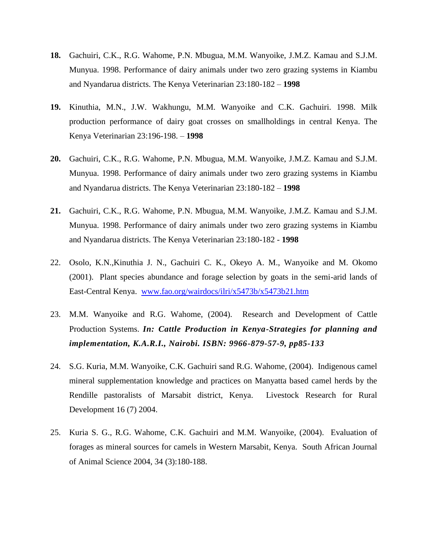- **18.** Gachuiri, C.K., R.G. Wahome, P.N. Mbugua, M.M. Wanyoike, J.M.Z. Kamau and S.J.M. Munyua. 1998. Performance of dairy animals under two zero grazing systems in Kiambu and Nyandarua districts. The Kenya Veterinarian 23:180-182 – **1998**
- **19.** Kinuthia, M.N., J.W. Wakhungu, M.M. Wanyoike and C.K. Gachuiri. 1998. Milk production performance of dairy goat crosses on smallholdings in central Kenya. The Kenya Veterinarian 23:196-198. – **1998**
- **20.** Gachuiri, C.K., R.G. Wahome, P.N. Mbugua, M.M. Wanyoike, J.M.Z. Kamau and S.J.M. Munyua. 1998. Performance of dairy animals under two zero grazing systems in Kiambu and Nyandarua districts. The Kenya Veterinarian 23:180-182 – **1998**
- **21.** Gachuiri, C.K., R.G. Wahome, P.N. Mbugua, M.M. Wanyoike, J.M.Z. Kamau and S.J.M. Munyua. 1998. Performance of dairy animals under two zero grazing systems in Kiambu and Nyandarua districts. The Kenya Veterinarian 23:180-182 - **1998**
- 22. Osolo, K.N.,Kinuthia J. N., Gachuiri C. K., Okeyo A. M., Wanyoike and M. Okomo (2001). Plant species abundance and forage selection by goats in the semi-arid lands of East-Central Kenya. <www.fao.org/wairdocs/ilri/x5473b/x5473b21.htm>
- 23. M.M. Wanyoike and R.G. Wahome, (2004). Research and Development of Cattle Production Systems. *In: Cattle Production in Kenya-Strategies for planning and implementation, K.A.R.I., Nairobi. ISBN: 9966-879-57-9, pp85-133*
- 24. S.G. Kuria, M.M. Wanyoike, C.K. Gachuiri sand R.G. Wahome, (2004). Indigenous camel mineral supplementation knowledge and practices on Manyatta based camel herds by the Rendille pastoralists of Marsabit district, Kenya. Livestock Research for Rural Development 16 (7) 2004.
- 25. Kuria S. G., R.G. Wahome, C.K. Gachuiri and M.M. Wanyoike, (2004). Evaluation of forages as mineral sources for camels in Western Marsabit, Kenya. South African Journal of Animal Science 2004, 34 (3):180-188.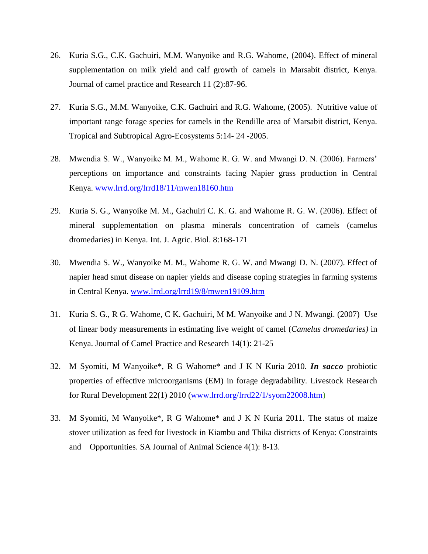- 26. Kuria S.G., C.K. Gachuiri, M.M. Wanyoike and R.G. Wahome, (2004). Effect of mineral supplementation on milk yield and calf growth of camels in Marsabit district, Kenya. Journal of camel practice and Research 11 (2):87-96.
- 27. Kuria S.G., M.M. Wanyoike, C.K. Gachuiri and R.G. Wahome, (2005). Nutritive value of important range forage species for camels in the Rendille area of Marsabit district, Kenya. Tropical and Subtropical Agro-Ecosystems 5:14- 24 -2005.
- 28. Mwendia S. W., Wanyoike M. M., Wahome R. G. W. and Mwangi D. N. (2006). Farmers' perceptions on importance and constraints facing Napier grass production in Central Kenya. [www.lrrd.org/lrrd18/11/mwen18160.htm](http://www.lrrd.org/lrrd18/11/mwen18160.htm)
- 29. Kuria S. G., Wanyoike M. M., Gachuiri C. K. G. and Wahome R. G. W. (2006). Effect of mineral supplementation on plasma minerals concentration of camels (camelus dromedaries) in Kenya. Int. J. Agric. Biol. 8:168-171
- 30. Mwendia S. W., Wanyoike M. M., Wahome R. G. W. and Mwangi D. N. (2007). Effect of napier head smut disease on napier yields and disease coping strategies in farming systems in Central Kenya. [www.lrrd.org/lrrd19/8/mwen19109.htm](http://www.lrrd.org/lrrd19/8/mwen19109.htm)
- 31. Kuria S. G., R G. Wahome, C K. Gachuiri, M M. Wanyoike and J N. Mwangi. (2007) Use of linear body measurements in estimating live weight of camel (*Camelus dromedaries)* in Kenya. Journal of Camel Practice and Research 14(1): 21-25
- 32. M Syomiti, M Wanyoike\*, R G Wahome\* and J K N Kuria 2010. *In sacco* probiotic properties of effective microorganisms (EM) in forage degradability. Livestock Research for Rural Development 22(1) 2010 [\(www.lrrd.org/lrrd22/1/syom22008.htm\)](www.lrrd.org/lrrd22/1/syom22008.htm)
- 33. M Syomiti, M Wanyoike\*, R G Wahome\* and J K N Kuria 2011. The status of maize stover utilization as feed for livestock in Kiambu and Thika districts of Kenya: Constraints and Opportunities. SA Journal of Animal Science 4(1): 8-13.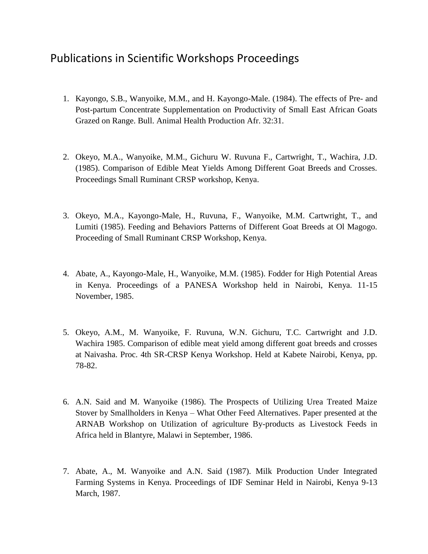# Publications in Scientific Workshops Proceedings

- 1. Kayongo, S.B., Wanyoike, M.M., and H. Kayongo-Male. (1984). The effects of Pre- and Post-partum Concentrate Supplementation on Productivity of Small East African Goats Grazed on Range. Bull. Animal Health Production Afr. 32:31.
- 2. Okeyo, M.A., Wanyoike, M.M., Gichuru W. Ruvuna F., Cartwright, T., Wachira, J.D. (1985). Comparison of Edible Meat Yields Among Different Goat Breeds and Crosses. Proceedings Small Ruminant CRSP workshop, Kenya.
- 3. Okeyo, M.A., Kayongo-Male, H., Ruvuna, F., Wanyoike, M.M. Cartwright, T., and Lumiti (1985). Feeding and Behaviors Patterns of Different Goat Breeds at Ol Magogo. Proceeding of Small Ruminant CRSP Workshop, Kenya.
- 4. Abate, A., Kayongo-Male, H., Wanyoike, M.M. (1985). Fodder for High Potential Areas in Kenya. Proceedings of a PANESA Workshop held in Nairobi, Kenya. 11-15 November, 1985.
- 5. Okeyo, A.M., M. Wanyoike, F. Ruvuna, W.N. Gichuru, T.C. Cartwright and J.D. Wachira 1985. Comparison of edible meat yield among different goat breeds and crosses at Naivasha. Proc. 4th SR-CRSP Kenya Workshop. Held at Kabete Nairobi, Kenya, pp. 78-82.
- 6. A.N. Said and M. Wanyoike (1986). The Prospects of Utilizing Urea Treated Maize Stover by Smallholders in Kenya – What Other Feed Alternatives. Paper presented at the ARNAB Workshop on Utilization of agriculture By-products as Livestock Feeds in Africa held in Blantyre, Malawi in September, 1986.
- 7. Abate, A., M. Wanyoike and A.N. Said (1987). Milk Production Under Integrated Farming Systems in Kenya. Proceedings of IDF Seminar Held in Nairobi, Kenya 9-13 March, 1987.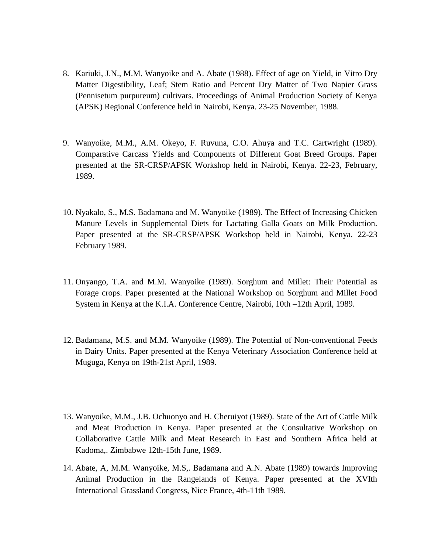- 8. Kariuki, J.N., M.M. Wanyoike and A. Abate (1988). Effect of age on Yield, in Vitro Dry Matter Digestibility, Leaf; Stem Ratio and Percent Dry Matter of Two Napier Grass (Pennisetum purpureum) cultivars. Proceedings of Animal Production Society of Kenya (APSK) Regional Conference held in Nairobi, Kenya. 23-25 November, 1988.
- 9. Wanyoike, M.M., A.M. Okeyo, F. Ruvuna, C.O. Ahuya and T.C. Cartwright (1989). Comparative Carcass Yields and Components of Different Goat Breed Groups. Paper presented at the SR-CRSP/APSK Workshop held in Nairobi, Kenya. 22-23, February, 1989.
- 10. Nyakalo, S., M.S. Badamana and M. Wanyoike (1989). The Effect of Increasing Chicken Manure Levels in Supplemental Diets for Lactating Galla Goats on Milk Production. Paper presented at the SR-CRSP/APSK Workshop held in Nairobi, Kenya. 22-23 February 1989.
- 11. Onyango, T.A. and M.M. Wanyoike (1989). Sorghum and Millet: Their Potential as Forage crops. Paper presented at the National Workshop on Sorghum and Millet Food System in Kenya at the K.I.A. Conference Centre, Nairobi, 10th –12th April, 1989.
- 12. Badamana, M.S. and M.M. Wanyoike (1989). The Potential of Non-conventional Feeds in Dairy Units. Paper presented at the Kenya Veterinary Association Conference held at Muguga, Kenya on 19th-21st April, 1989.
- 13. Wanyoike, M.M., J.B. Ochuonyo and H. Cheruiyot (1989). State of the Art of Cattle Milk and Meat Production in Kenya. Paper presented at the Consultative Workshop on Collaborative Cattle Milk and Meat Research in East and Southern Africa held at Kadoma,. Zimbabwe 12th-15th June, 1989.
- 14. Abate, A, M.M. Wanyoike, M.S,. Badamana and A.N. Abate (1989) towards Improving Animal Production in the Rangelands of Kenya. Paper presented at the XVIth International Grassland Congress, Nice France, 4th-11th 1989.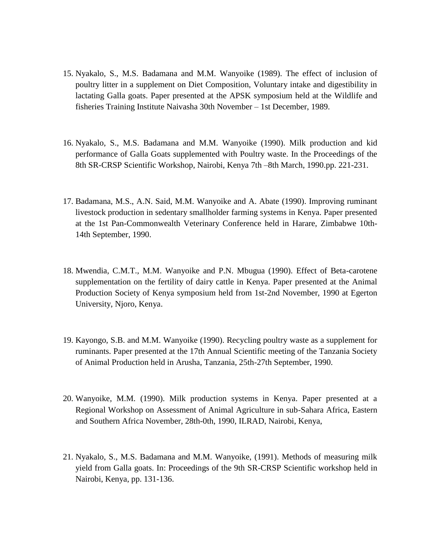- 15. Nyakalo, S., M.S. Badamana and M.M. Wanyoike (1989). The effect of inclusion of poultry litter in a supplement on Diet Composition, Voluntary intake and digestibility in lactating Galla goats. Paper presented at the APSK symposium held at the Wildlife and fisheries Training Institute Naivasha 30th November – 1st December, 1989.
- 16. Nyakalo, S., M.S. Badamana and M.M. Wanyoike (1990). Milk production and kid performance of Galla Goats supplemented with Poultry waste. In the Proceedings of the 8th SR-CRSP Scientific Workshop, Nairobi, Kenya 7th –8th March, 1990.pp. 221-231.
- 17. Badamana, M.S., A.N. Said, M.M. Wanyoike and A. Abate (1990). Improving ruminant livestock production in sedentary smallholder farming systems in Kenya. Paper presented at the 1st Pan-Commonwealth Veterinary Conference held in Harare, Zimbabwe 10th-14th September, 1990.
- 18. Mwendia, C.M.T., M.M. Wanyoike and P.N. Mbugua (1990). Effect of Beta-carotene supplementation on the fertility of dairy cattle in Kenya. Paper presented at the Animal Production Society of Kenya symposium held from 1st-2nd November, 1990 at Egerton University, Njoro, Kenya.
- 19. Kayongo, S.B. and M.M. Wanyoike (1990). Recycling poultry waste as a supplement for ruminants. Paper presented at the 17th Annual Scientific meeting of the Tanzania Society of Animal Production held in Arusha, Tanzania, 25th-27th September, 1990.
- 20. Wanyoike, M.M. (1990). Milk production systems in Kenya. Paper presented at a Regional Workshop on Assessment of Animal Agriculture in sub-Sahara Africa, Eastern and Southern Africa November, 28th-0th, 1990, ILRAD, Nairobi, Kenya,
- 21. Nyakalo, S., M.S. Badamana and M.M. Wanyoike, (1991). Methods of measuring milk yield from Galla goats. In: Proceedings of the 9th SR-CRSP Scientific workshop held in Nairobi, Kenya, pp. 131-136.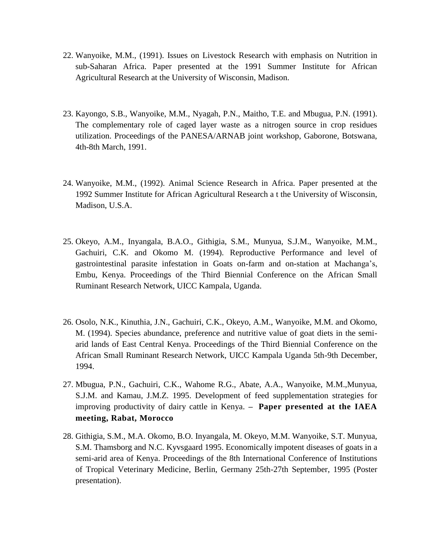- 22. Wanyoike, M.M., (1991). Issues on Livestock Research with emphasis on Nutrition in sub-Saharan Africa. Paper presented at the 1991 Summer Institute for African Agricultural Research at the University of Wisconsin, Madison.
- 23. Kayongo, S.B., Wanyoike, M.M., Nyagah, P.N., Maitho, T.E. and Mbugua, P.N. (1991). The complementary role of caged layer waste as a nitrogen source in crop residues utilization. Proceedings of the PANESA/ARNAB joint workshop, Gaborone, Botswana, 4th-8th March, 1991.
- 24. Wanyoike, M.M., (1992). Animal Science Research in Africa. Paper presented at the 1992 Summer Institute for African Agricultural Research a t the University of Wisconsin, Madison, U.S.A.
- 25. Okeyo, A.M., Inyangala, B.A.O., Githigia, S.M., Munyua, S.J.M., Wanyoike, M.M., Gachuiri, C.K. and Okomo M. (1994). Reproductive Performance and level of gastrointestinal parasite infestation in Goats on-farm and on-station at Machanga's, Embu, Kenya. Proceedings of the Third Biennial Conference on the African Small Ruminant Research Network, UICC Kampala, Uganda.
- 26. Osolo, N.K., Kinuthia, J.N., Gachuiri, C.K., Okeyo, A.M., Wanyoike, M.M. and Okomo, M. (1994). Species abundance, preference and nutritive value of goat diets in the semiarid lands of East Central Kenya. Proceedings of the Third Biennial Conference on the African Small Ruminant Research Network, UICC Kampala Uganda 5th-9th December, 1994.
- 27. Mbugua, P.N., Gachuiri, C.K., Wahome R.G., Abate, A.A., Wanyoike, M.M.,Munyua, S.J.M. and Kamau, J.M.Z. 1995. Development of feed supplementation strategies for improving productivity of dairy cattle in Kenya. **– Paper presented at the IAEA meeting, Rabat, Morocco**
- 28. Githigia, S.M., M.A. Okomo, B.O. Inyangala, M. Okeyo, M.M. Wanyoike, S.T. Munyua, S.M. Thamsborg and N.C. Kyvsgaard 1995. Economically impotent diseases of goats in a semi-arid area of Kenya. Proceedings of the 8th International Conference of Institutions of Tropical Veterinary Medicine, Berlin, Germany 25th-27th September, 1995 (Poster presentation).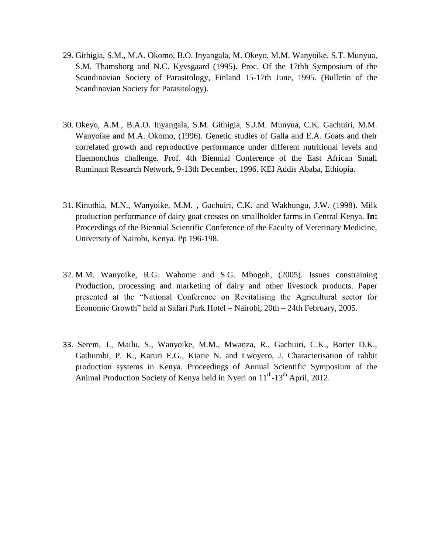- 29. Githigia, S.M., M.A. Okomo, B.O. Inyangala, M. Okeyo, M.M. Wanyoike, S.T. Munyua, S.M. Thamsborg and N.C. Kyvsgaard (1995). Proc. Of the 17thh Symposium of the Scandinavian Society of Parasitology, Finland 15-17th June, 1995. (Bulletin of the Scandinavian Society for Parasitology).
- 30. Okeyo, A.M., B.A.O. Inyangala, S.M. Githigia, S.J.M. Munyua, C.K. Gachuiri, M.M. Wanyoike and M.A. Okomo, (1996). Genetic studies of Galla and E.A. Goats and their correlated growth and reproductive performance under different nutritional levels and Haemonchus challenge. Prof. 4th Biennial Conference of the East African Small Ruminant Research Network, 9-13th December, 1996. KEI Addis Ababa, Ethiopia.
- 31. Kinuthia, M.N., Wanyoike, M.M. , Gachuiri, C.K. and Wakhungu, J.W. (1998). Milk production performance of dairy goat crosses on smallholder farms in Central Kenya. **In:**  Proceedings of the Biennial Scientific Conference of the Faculty of Veterinary Medicine, University of Nairobi, Kenya. Pp 196-198.
- 32. M.M. Wanyoike, R.G. Wahome and S.G. Mbogoh, (2005). Issues constraining Production, processing and marketing of dairy and other livestock products. Paper presented at the "National Conference on Revitalising the Agricultural sector for Economic Growth" held at Safari Park Hotel – Nairobi, 20th – 24th February, 2005.
- 33. Serem, J., Mailu, S., Wanyoike, M.M., Mwanza, R., Gachuiri, C.K., Borter D.K., Gathumbi, P. K., Karuri E.G., Kiarie N. and Lwoyero, J. Characterisation of rabbit production systems in Kenya. Proceedings of Annual Scientific Symposium of the Animal Production Society of Kenya held in Nyeri on 11<sup>th</sup>-13<sup>th</sup> April, 2012.